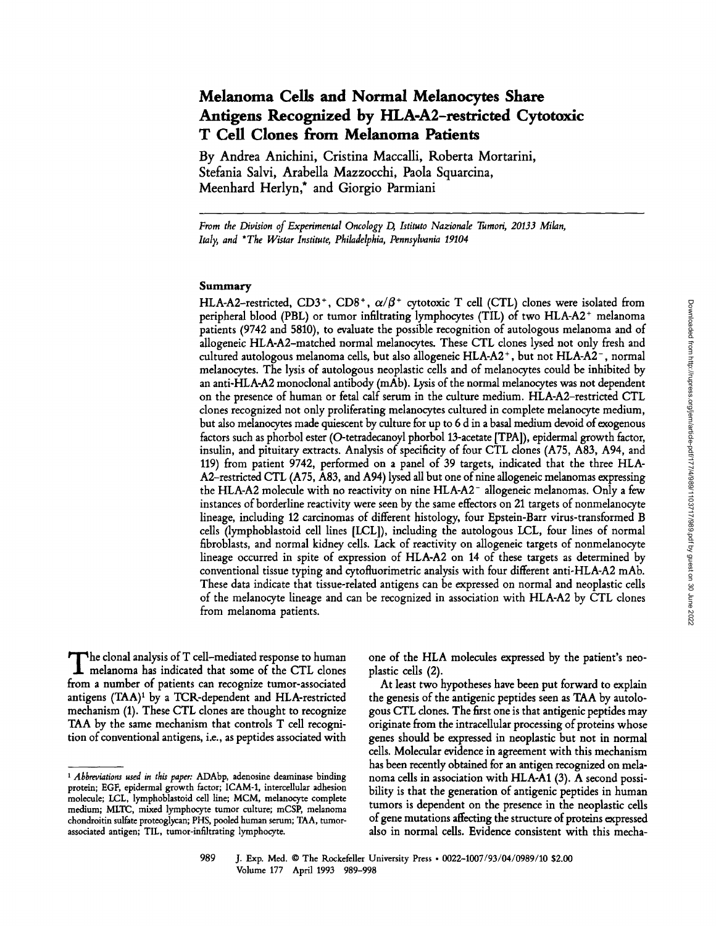# **Melanoma Cells and Normal Melanocytes Share Antigens Recognized by HLA-A2-restricted Cytotoxic T Cell Clones from Melanoma Patients**

**By Andrea Anichini, Cristina Maccalli, Roberta Mortarini, Stefania Salvi, Arabella Mazzocchi, Paola Squarcina, Meenhard Herlyn,\* and Giorgio Parmiani** 

*From the Division of Experimental Oncology D, Istituto Nazionale Tumori, 20133 Milan, Italy, and \*The Wistar Institute, Philadelphia, Pennsylvania 19104* 

#### **Summary**

HLA-A2-restricted, CD3<sup>+</sup>, CD8<sup>+</sup>,  $\alpha/\beta$ <sup>+</sup> cytotoxic T cell (CTL) clones were isolated from peripheral blood (PBL) or tumor infiltrating lymphocytes (TIL) of two HLA-A2<sup>+</sup> melanoma patients (9742 and 5810), to evaluate the possible recognition of autologous melanoma and of allogeneic HLA-A2-matched normal melanocytes. These CTL clones lysed not only fresh and cultured autologous melanoma cells, but also allogeneic HLA-A2 +, but not HLA-A2-, normal melanocytes. The lysis of autologous neoplastic cells and of melanocytes could be inhibited by an anti-HLA-A2 monoclonal antibody (mAb). Lysis of the normal melanocytes was not dependent on the presence of human or fetal calf serum in the culture medium. HLA-A2-restricted CTL clones recognized not only proliferating melanocytes cultured in complete melanocyte medium, but also melanocytes made quiescent by culture for up to 6 d in a basal medium devoid of exogenous factors such as phorbol ester (O-tetradecanoyl phorbol 13-acetate [TPA]), epidermal growth factor, insulin, and pituitary extracts. Analysis of specificity of four CTL clones (A75, A83, A94, and 119) from patient 9742, performed on a panel of 39 targets, indicated that the three HLA-A2-restricted CTL (A75, A83, and A94) lysed all but one of nine allogeneic melanomas expressing the HLA-A2 molecule with no reactivity on nine HLA-A2- allogeneic melanomas. Only a few instances of borderline reactivity were seen by the same effectors on 21 targets of nonmelanocyte lineage, including 12 carcinomas of different histology, four Epstein-Barr virus-transformed B cells (lymphoblastoid cell lines [LCL]), including the autologous LCL, four lines of normal fibroblasts, and normal kidney cells. Lack of reactivity on allogeneic targets of nonmelanocyte lineage occurred in spite of expression of HLA-A2 on 14 of these targets as determined by conventional tissue typing and cytofluorimetric analysis with four different anti-HLA-A2 mAb. These data indicate that tissue-related antigens can be expressed on normal and neoplastic cells of the melanocyte lineage and can be recognized in association with HLA-A2 by CTL clones from melanoma patients.

The clonal analysis of T cell-mediated response to human<br>melanoma has indicated that some of the CTL clones from a number of patients can recognize tumor-associated antigens  $(TAA)^1$  by a TCR-dependent and HLA-restricted mechanism (1). These CTL clones are thought to recognize TAA by the same mechanism that controls T cell recognition of conventional antigens, i.e., as peptides associated with

one of the HLA molecules expressed by the patient's neoplastic cells (2).

At least two hypotheses have been put forward to explain the genesis of the antigenic peptides seen as TAA by autologous CTL clones. The first one is that antigenic peptides may originate from the intracellular processing of proteins whose genes should be expressed in neoplastic but not in normal cells. Molecular evidence in agreement with this mechanism has been recently obtained for an antigen recognized on melanoma cells in association with HLA-A1 (3). A second possibility is that the generation of antigenic peptides in human tumors is dependent on the presence in the neoplastic cells of gene mutations affecting the structure of proteins expressed also in normal cells. Evidence consistent with this mecha-

*<sup>1</sup> Abbreviations used in this paper:* ADAbp, adenosine deaminase binding protein; EGF, epidermal growth factor; ICAM-1, intercellular adhesion molecule; LCL, lymphoblastoid cell line; MCM, melanocyte complete medium; MLTC, mixed lymphocyte tumor culture; mCSP, melanoma chondroitin sulfate proteoglycan; PHS, pooled human serum; TAA, tumorassociated antigen; TIL, tumor-infiltrating lymphocyte.

<sup>989</sup> J. Exp. Med. 9 The Rockefeller University Press 9 *0022-1007/93/04/0989/10* \$2.00 Volume 177 April 1993 989-998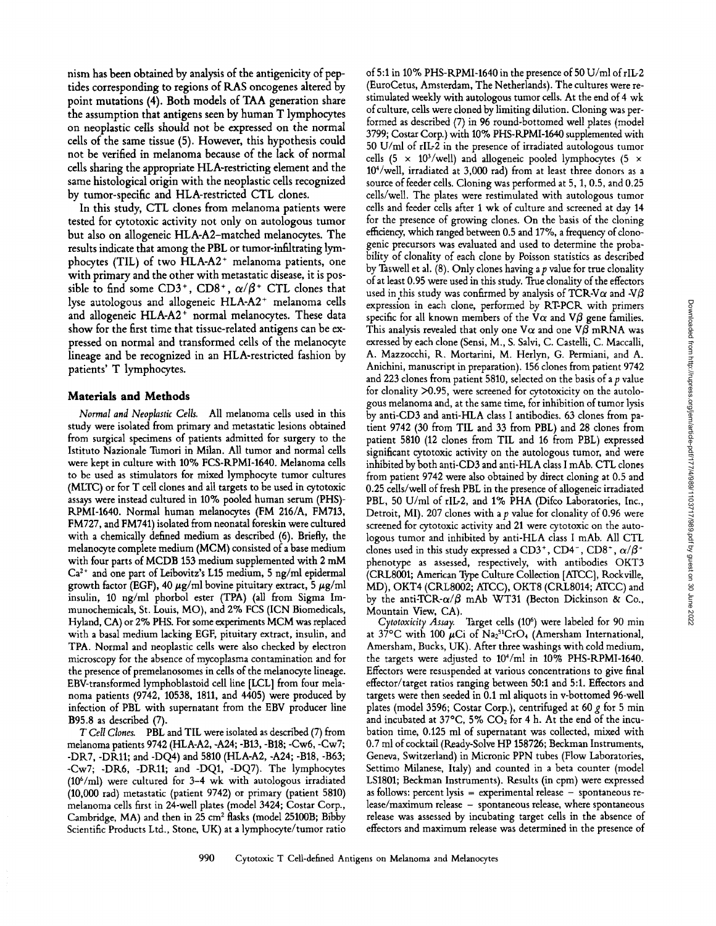nism has been obtained by analysis of the antigenicity of peptides corresponding to regions of R.AS oncogenes altered by point mutations (4). Both models of TAA generation share the assumption that antigens seen by human T lymphocytes on neoplastic cells should not be expressed on the normal cells of the same tissue (5). However, this hypothesis could not be verified in melanoma because of the lack of normal cells sharing the appropriate HLA-restricting element and the same histological origin with the neoplastic cells recognized by tumor-specific and HLA-restricted CTL clones.

In this study, CTL clones from melanoma patients were tested for cytotoxic activity not only on autologous tumor but also on allogeneic HLA-A2-matched melanocytes. The results indicate that among the PBL or tumor-infiltrating lymphocytes (TIL) of two  $HLA-A2$ <sup>+</sup> melanoma patients, one with primary and the other with metastatic disease, it is possible to find some CD3<sup>+</sup>, CD8<sup>+</sup>,  $\alpha/\beta$ <sup>+</sup> CTL clones that lyse autologous and allogeneic HLA-A2<sup>+</sup> melanoma cells and allogeneic HLA-A2<sup>+</sup> normal melanocytes. These data show for the first time that tissue-related antigens can be expressed on normal and transformed cells of the melanocyte lineage and be recognized in an HLA-restricted fashion by patients' T lymphocytes.

#### **Materials and Methods**

*Normal and Neoplastic Cells.* All melanoma cells used in this study were isolated from primary and metastatic lesions obtained from surgical specimens of patients admitted for surgery to the Istituto Nazionale Tumori in Milan. All tumor and normal cells were kept in culture with 10% FCS-RPMI-1640. Melanoma cells to be used as stimulators for mixed lymphocyte tumor cultures (MLTC) or for T call clones and all targets to be used in cytotoxic assays were instead cultured in 10% pooled human serum (PHS)- RPMI-1640. Normal human melanocytes (FM 216/A, FM713, FM727, and FM741) isolated from neonatal foreskin were cultured with a chemically defined medium as described (6). Briefly, the melanocyte complete medium (MCM) consisted of a base medium with four parts of MCDB 153 medium supplemented with 2 mM  $Ca<sup>2+</sup>$  and one part of Leibovitz's L15 medium, 5 ng/ml epidermal growth factor (EGF), 40  $\mu$ g/ml bovine pituitary extract, 5  $\mu$ g/ml insulin, 10 ng/ml phorbol ester (TPA) (all from Sigma Immunochemicals, St. Louis, MO), and 2% FCS (ICN Biomedicals, Hyland, CA) or 2% PHS. For some experiments MCM was replaced with a basal medium lacking EGF, pituitary extract, insulin, and TPA. Normal and neoplastic cells were also checked by electron microscopy for the absence of mycoplasma contamination and for the presence of premelanosomes in cells of the melanocyte lineage. EBV-transformed lymphoblastoid cell line [LCL] from four melanoma patients (9742, 10538, 1811, and 4405) were produced by infection of PBL with supernatant from the EBV producer line B95.8 as described (7).

*T Cell Clones.* PBL and TIL were isolated as described (7) from melanoma patients 9742 (HLA-A2, -A24; -B13, -B18; -Cw6, -Cw7; -DR7, -DK11; and -DQ4) and 5810 (HLA-A2, -A24; -B18, -B63; -Cw7; -DR6, -DR11; and -DQ1, -DQ7). The lymphocytes  $(10^6$ /ml) were cultured for 3–4 wk with autologous irradiated (10,000 tad) metastatic (patient 9742) or primary (patient 5810) melanoma cells first in 24-well plates (model 3424; Costar Corp., Cambridge,  $MA$ ) and then in 25 cm<sup>2</sup> flasks (model 25100B; Bibby Scientific Products Ltd., Stone, UK) at a lymphocyte/tumor ratio of 5:1 in 10% PHS-RPMI-1640 in the presence of 50 U/ml of rIL-2 (EuroCetus, Amsterdam, The Netherlands). The cultures were restimulated weekly with autologous tumor cells. At the end of 4 wk of culture, cells were cloned by limiting dilution. Cloning was performed as described (7) in 96 round-bottomed well plates (model 3799; Costar Corp.) with 10% PHS-RPMI-1640 supplemented with 50 U/ml of rlL-2 in the presence of irradiated autologous tumor cells (5  $\times$  10<sup>3</sup>/well) and allogeneic pooled lymphocytes (5  $\times$ 104/well, irradiated at 3,000 tad) from at least three donors as a source of feeder cells. Cloning was performed at 5, 1, 0.5, and 0.25 cells/well. The plates were restimulated with autologous tumor cells and feeder cells after 1 wk of culture and screened at day 14 for the presence of growing clones. On the basis of the cloning efficiency, which ranged between 0.5 and 17%, a frequency of clonogenic precursors was evaluated and used to determine the probability of clonality of each clone by Poisson statistics as described by Taswell et al.  $(8)$ . Only clones having a p value for true clonality of at least 0.95 were used in this study. True clonality of the effectors used in this study was confirmed by analysis of TCR-V $\alpha$  and -V $\beta$ expression in each clone, performed by RT-PCR with primers specific for all known members of the V $\alpha$  and V $\beta$  gene families. This analysis revealed that only one  $V\alpha$  and one V $\beta$  mRNA was exressed by each clone (Sensi, M., S. Salvi, C. Castelli, C. Maccalli, A. Mazzocchi, R. Mortarini, M. Herlyn, G. Permiani, and A. Anichini, manuscript in preparation). 156 clones from patient 9742 and 223 clones from patient 5810, selected on the basis of a  $p$  value for clonality >0.95, were screened for cytotoxicity on the autologous melanoma and, at the same time, for inhibition of tumor lysis by anti-CD3 and anti-HLA class I antibodies. 63 clones from patient 9742 (30 from TIL and 33 from PBL) and 28 clones from patient 5810 (12 clones from TIL and 16 from PBL) expressed significant cytotoxic activity on the autologous tumor, and were inhibited by both anti-CD3 and anti-HLA class I mAb. CTL clones from patient 9742 were also obtained by direct cloning at 0.5 and 0.25 cells/well of fresh PBL in the presence of allogeneic irradiated PBL, 50 U/ml of rIL-2, and 1% PHA (Difco Laboratories, Inc., Detroit, MI). 207 clones with a p value for clonality of 0.96 were screened for cytotoxic activity and 21 were cytotoxic on the autologous tumor and inhibited by anti-HLA class I mAb. All CTL clones used in this study expressed a CD3+, CD4+, CD8+,  $\alpha/\beta^+$ phenotype as assessed, respectively, with antibodies OKT3 (CRL8001; American Type Culture Collection [ATCC], Rockville, MD), OKT4 (CRL8002; ATCC), OKT8 (CRL8014; ATCC) and by the anti-TCR- $\alpha/\beta$  mAb WT31 (Becton Dickinson & Co.,

Mountain View, CA).<br>Cytotoxicity Assay. Target cells (10<sup>6</sup>) were labeled for 90 min at  $37^{\circ}$ C with 100 µCi of Na<sub>2</sub><sup>51</sup>CrO<sub>4</sub> (Amersham International, Amersham, Bucks, UK). After three washings with cold medium, the targets were adjusted to  $10<sup>4</sup>/ml$  in  $10\%$  PHS-RPMI-1640. Effectors were resuspended at various concentrations to give final effector/target ratios ranging between 50:1 and 5:1. Effectors and targets were then seeded in 0.1 ml aliquots in v-bottomed 96-well plates (model 3596; Costar Corp.), centrifuged at 60 g for 5 min and incubated at 37°C, 5%  $CO<sub>2</sub>$  for 4 h. At the end of the incubation time, 0.125 ml of supernatant was collected, mixed with 0.7 ml of cocktail (Ready-Solve HP 158726; Beckman Instruments, Geneva, Switzerland) in Micronic PPN tubes (Flow Laboratories, Settimo Milanese, Italy) and counted in a beta counter (model LS1801; Beckman Instruments). Results (in cpm) were expressed as follows: percent lysis  $=$  experimental release  $-$  spontaneous release/maximum release - spontaneous release, where spontaneous release was assessed by incubating target cells in the absence of effectors and maximum release was determined in the presence of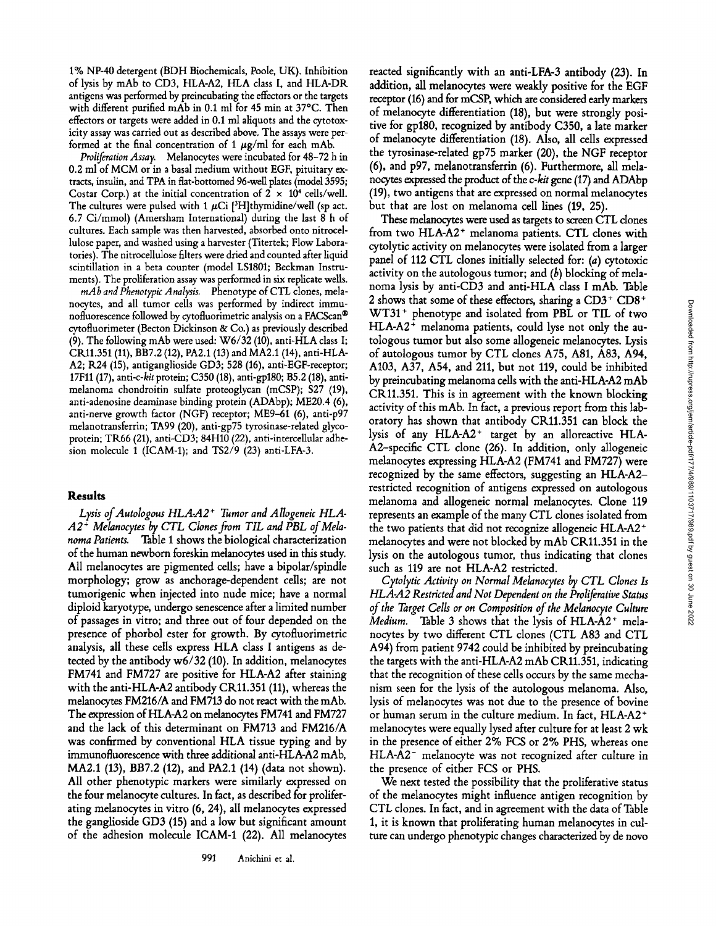1% NP-40 detergent (BDH Biochemicals, Poole, UK). Inhibition of lysis by mAb to CD3, HLA-A2, HLA class I, and HLA-DR antigens was performed by preincubating the effectors or the targets with different purified mAb in 0.1 ml for 45 min at 37°C. Then effectors or targets were added in 0.1 ml aliquots and the cytotoxicity assay was carried out as described above. The assays were performed at the final concentration of 1  $\mu$ g/ml for each mAb.

*Proliferation Assay.* Melanocytes were incubated for 48-72 h in 0.2 ml of MCM or in a basal medium without EGF, pituitary extracts, insulin, and TPA in flat-bottomed 96-well plates (model 3595; Costar Corp.) at the initial concentration of  $2 \times 10^4$  cells/well. The cultures were pulsed with 1  $\mu$ Ci [<sup>3</sup>H]thymidine/well (sp act. 6.7 Ci/mmol) (Amersham International) during the last 8 h of cultures. Each sample was then harvested, absorbed onto nitrocellulose paper, and washed using a harvester (Titertek; Flow Laboratories). The nitrocellulose filters were dried and counted after liquid scintillation in a beta counter (model LS1801; Beckman Instruments). The proliferation assay was performed in six replicate wells.

*mAb and Phenotypic Analysis.* Phenotype of CTL clones, melanocytes, and all tumor cells was performed by indirect immunofluorescence followed by cytofluorimetric analysis on a FACScan® cytofluorimeter (Becton Dickinson & Co.) as previously described (9). The following mAb were used: W6/32 (10), anti-HLA class I; CRll.351 (11), BB7.2 (12), PA2.1 (13) and MA2.1 (14), anti-HLA-A2; R24 (15), antiganglioside GD3; 528 (16), anti-EGF-receptor; 17Fll (17), *anti-c-kit* protein; C350 (18), anti-gp180; B5.2 (18), antimelanoma chondroitin sulfate proteoglycan (mCSP); \$27 (19), anti-adenosine deaminase binding protein (ADAbp); ME20.4 (6), anti-nerve growth factor (NGF) receptor; ME9-61 (6), anti-p97 melanotransferrin; TA99 (20), anti-gp75 tyrosinase-related glycoprotein; TR66 (21), anti-CD3; 84H10 (22), anti-intercellular adhesion molecule 1 (ICAM-1); and TS2/9 (23) anti-LFA-3.

#### **Results**

Lysis of Autologous HLA-A2<sup>+</sup> Tumor and Allogeneic HLA-A2<sup> $\pm$ </sup> Melanocytes by CTL Clones from TIL and PBL of Mela*noma Patients.* Table 1 shows the biological characterization of the human newborn foreskin melanocytes used in this study. All melanocytes are pigmented cells; have a bipolar/spindle morphology; grow as anchorage-dependent cells; are not tumorigenic when injected into nude mice; have a normal diploid karyotype, undergo senescence after a limited number of passages in vitro; and three out of four depended on the presence of phorbol ester for growth. By cytofluorimetric analysis, all these cells express HLA class I antigens as detected by the antibody w6/32 (10). In addition, melanocytes FM741 and FM727 are positive for HLA-A2 after staining with the anti-HLA-A2 antibody CR11.351 (11), whereas the melanocytes FM216/A and FM713 do not react with the mAb. The expression of HLA-A2 on melanocytes FM741 and FM727 and the lack of this determinant on FM713 and FM216/A was confirmed by conventional HLA tissue typing and by immunofluorescence with three additional anti-HLA-A2 mAb, MA2.1 (13), BB7.2 (12), and PA2.1 (14) (data not shown). All other phenotypic markers were similarly expressed on the four melanocyte cultures. In fact, as described for proliferating melanocytes in vitro (6, 24), all melanocytes expressed the ganglioside GD3 (15) and a low but significant amount of the adhesion molecule ICAM-1 (22). All melanocytes reacted significantly with an anti-LFA-3 antibody (23). In addition, all melanocytes were weakly positive for the EGF receptor (16) and for mCSP, which are considered early markers of melanocyte differentiation (18), but were strongly positive for gp180, recognized by antibody C350, a late marker of melanocyte differentiation (18). Also, all cells expressed the tyrosinase-related gp75 marker (20), the NGF receptor (6), and p97, melanotransferrin (6). Furthermore, all melanocytes expressed the product of the *c-kit* gene (17) and ADAbp (19), two antigens that are expressed on normal melanocytes but that are lost on melanoma cell lines (19, 25).

These melanocytes were used as targets to screen CTL clones from two HLA-A2<sup>+</sup> melanoma patients. CTL clones with cytolytic activity on melanocytes were isolated from a larger panel of 112 CTL clones initially selected for: (a) cytotoxic activity on the autologous tumor; and  $(b)$  blocking of melanoma lysis by anti-CD3 and anti-HLA class I mAb. Table 2 shows that some of these effectors, sharing a CD3+ CD8+ WT31 + phenotype and isolated from PBL or TIL of two  $HLA-A2$ <sup>+</sup> melanoma patients, could lyse not only the autologous tumor but also some allogeneic melanocytes. Lysis of autologous tumor by CTL clones A75, A81, A83, A94, A103, A37, A54, and 211, but not 119, could be inhibited by preincubating melanoma cells with the anti-HLA-A2 mAb CR11.351. This is in agreement with the known blocking activity of this mAb. In fact, a previous report from this laboratory has shown that antibody CKll.351 can block the lysis of any  $HLA-A2$ <sup>+</sup> target by an alloreactive  $HLA$ -A2-specific CTL clone (26). In addition, only allogeneic melanocytes expressing HLA-A2 (FM741 and FM727) were recognized by the same effectors, suggesting an HLA-A2 restricted recognition of antigens expressed on autologous melanoma and allogeneic normal melanocytes. Clone 119 represents an example of the many CTL clones isolated from the two patients that did not recognize allogeneic HLA-A2 + melanocytes and were not blocked by mAb CR11.351 in the lysis on the autologous tumor, thus indicating that clones such as 119 are not HLA-A2 restricted.

*Cytolytic Activity on Normal Melanocytes by CTL Clones Is HLA-A2 Restricted and Not Dependent on the Proliferative Status of the Target Cells or on Composition of the Melanocyte Culture Medium.* Table 3 shows that the lysis of HLA-A2<sup>+</sup> melanocytes by two different CTL clones (CTL A83 and CTL A94) from patient 9742 could be inhibited by preincubating the targets with the anti-HLA-A2 mAb CRll.351, indicating that the recognition of these cells occurs by the same mechanism seen for the lysis of the autologous melanoma. Also, lysis of melanocytes was not due to the presence of bovine or human serum in the culture medium. In fact, HLA-A2 + melanocytes were equally lysed after culture for at least 2 wk in the presence of either 2% FCS or 2% PHS, whereas one HLA-A2- melanocyte was not recognized after culture in the presence of either FCS or PHS.

We next tested the possibility that the proliferative status of the melanocytes might influence antigen recognition by CTL clones. In fact, and in agreement with the data of Table 1, it is known that proliferating human melanocytes in culture can undergo phenotypic changes characterized by de novo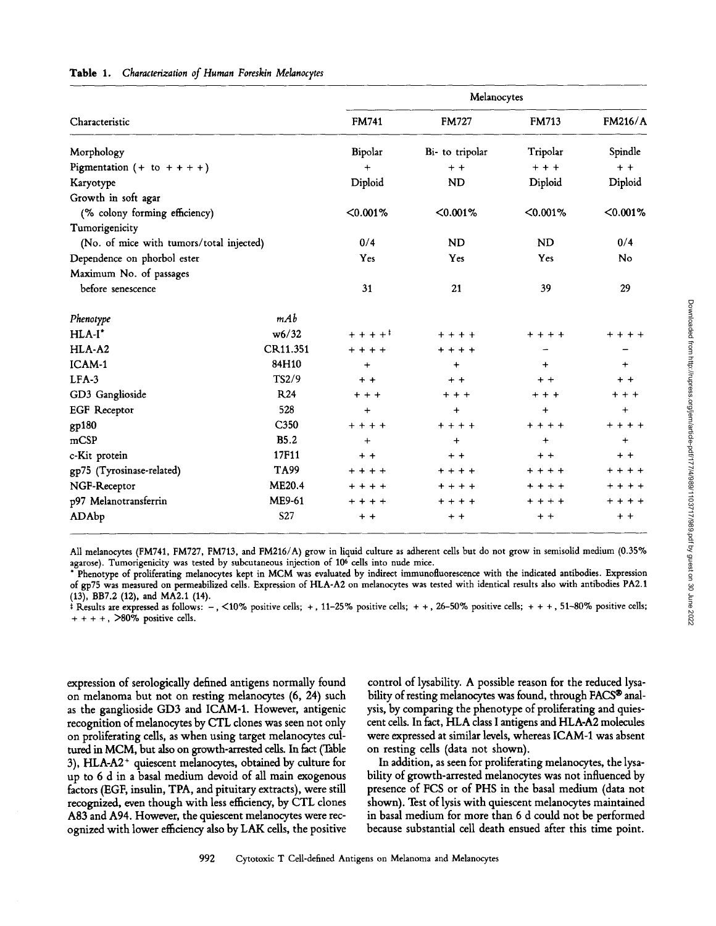|                                          |                 | Melanocytes                         |                 |              |                |  |  |
|------------------------------------------|-----------------|-------------------------------------|-----------------|--------------|----------------|--|--|
| Characteristic                           |                 | <b>FM741</b>                        | <b>FM727</b>    | <b>FM713</b> | <b>FM216/A</b> |  |  |
| Morphology                               |                 | Bipolar                             | Bi- to tripolar | Tripolar     | Spindle        |  |  |
| Pigmentation $(+ to + + + +)$            |                 | $+$                                 | $+ +$           | $+ + +$      | $+ +$          |  |  |
| Karyotype                                |                 | Diploid                             | <b>ND</b>       | Diploid      | Diploid        |  |  |
| Growth in soft agar                      |                 |                                     |                 |              |                |  |  |
| (% colony forming efficiency)            |                 | $< 0.001\%$                         | $< 0.001\%$     | $< 0.001\%$  | $< 0.001\%$    |  |  |
| Tumorigenicity                           |                 |                                     |                 |              |                |  |  |
| (No. of mice with tumors/total injected) |                 | 0/4                                 | ND              | <b>ND</b>    | 0/4            |  |  |
| Dependence on phorbol ester              |                 | Yes                                 | Yes             | Yes          | <b>No</b>      |  |  |
| Maximum No. of passages                  |                 |                                     |                 |              |                |  |  |
| before senescence                        |                 | 31                                  | 21              | 39           | 29             |  |  |
| Phenotype                                | mAb             |                                     |                 |              |                |  |  |
| $HLA-I^*$                                | w6/32           | $+ + + +$ <sup><math>+</math></sup> | $+ + + +$       | $+ + + +$    | + + + +        |  |  |
| HLA-A2                                   | CR11.351        | $+ + + +$                           | $+ + + +$       |              |                |  |  |
| ICAM-1                                   | 84H10           | $+$                                 | $\ddot{}$       | $+$          | $\ddot{}$      |  |  |
| $LFA-3$                                  | TS2/9           | $+ +$                               | $+ +$           | $+ +$        | $+ +$          |  |  |
| GD3 Ganglioside                          | <b>R24</b>      | $++$                                | $+ + +$         | $+ + +$      | $++$           |  |  |
| <b>EGF</b> Receptor                      | 528             | $+$                                 | $\ddot{}$       | $\ddot{}$    | $\ddotmark$    |  |  |
| gp180                                    | C350            | $+ + + +$                           | $+ + + +$       | + + + +      | $+ + + +$      |  |  |
| mCSP                                     | <b>B5.2</b>     | $\ddot{}$                           | $\ddot{}$       | $\ddot{}$    | $\ddot{}$      |  |  |
| c-Kit protein                            | 17F11           | $+ +$                               | $+ +$           | $+ +$        | $+ +$          |  |  |
| gp75 (Tyrosinase-related)                | TA99            | $+ + + +$                           | $+ + + +$       | + + + +      | $+ + + +$      |  |  |
| NGF-Receptor                             | <b>ME20.4</b>   | $+ + + +$                           | $+ + + +$       | $+ + + +$    | $+ + + +$      |  |  |
| p97 Melanotransferrin                    | ME9-61          | $+ + + +$                           | $+ + + +$       | $+ + + +$    | $+ + + +$      |  |  |
| ADAbp                                    | S <sub>27</sub> | $+ +$                               | $+ +$           | $+ +$        | $+ +$          |  |  |

#### Table 1. Characterization of Human Foreskin Melanocytes

All melanocytes (FM741, FM727, FM713, and FM216/A) grow in liquid culture as adherent cells but do not grow in semisolid medium (0.35% agarose). Tumorigenicity was tested by subcutaneous injection of 106 cells into nude mice.

\* Phenotype of proliferating melanocytes kept in MCM was evaluated by indirect immunofluorescence with the indicated antibodies. Expression of gp75 was measured on permeabilized cells. Expression of HLA-A2 on melanocytes was tested with identical results also with antibodies PA2.1 (13), BB7.2 (12), and MA2.1 (14).

 $\hat{f}$  Results are expressed as follows: -, <10% positive cells; +, 11-25% positive cells; + +, 26-50% positive cells; + + +, 51-80% positive cells;  $++++$ ,  $>80\%$  positive cells.

expression of serologicaUy defined antigens normally found on melanoma but not on resting melanocytes (6, 24) such as the ganglioside GD3 and ICAM-1. However, antigenic recognition of melanocytes by CTL dones was seen not only on proliferating cells, as when using target melanocytes cultured in MCM, but also on growth-arrested cells. In fact (Table 3), HLA-A2 + quiescent melanocytes, obtained by culture for up to 6 d in a basal medium devoid of all main exogenous factors (EGF, insulin, TPA, and pituitary extracts), were still recognized, even though with less efhciency, by CTL clones A83 and A94. However, the quiescent melanocytes were recognized with lower efficiency also by LAK cells, the positive

**control of lysability. A possible reason for the reduced lysa**bility of resting melanocytes was found, through FACS<sup>®</sup> anal**ysis, by comparing the phenotype of proliferating and quiescent cells. In fact, HLA class I antigens and HLA-A2 molecules were expressed at similar levels, whereas ICAM-1 was absent on resting cells (data not shown).** 

**In addition, as seen for proliferating melanocytes, the lysability of growth-arrested melanocytes was not influenced by presence of FCS or of PHS in the basal medium (data not shown). Test of lysis with quiescent melanocytes maintained in basal medium for more than 6 d could not be performed because substantial cell death ensued after this time point.**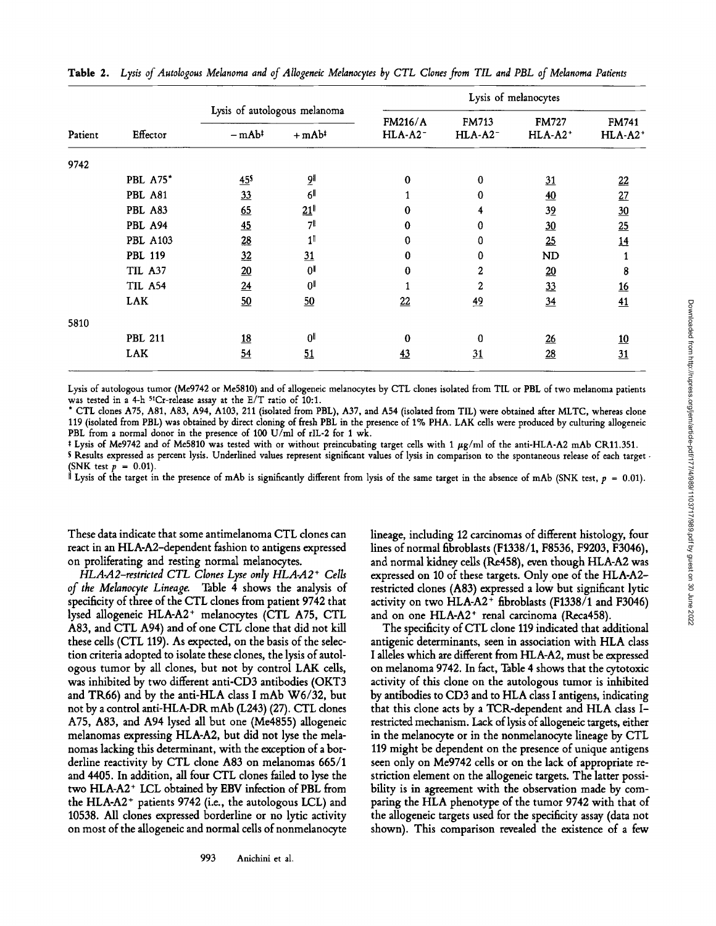|                 |                              |                                                                      |                                                                                     | Lysis of melanocytes            |              |                                       |  |  |  |
|-----------------|------------------------------|----------------------------------------------------------------------|-------------------------------------------------------------------------------------|---------------------------------|--------------|---------------------------------------|--|--|--|
| Effector        | Lysis of autologous melanoma |                                                                      | <b>FM216/A</b>                                                                      | <b>FM713</b><br>$HLA-A2^-$      | <b>FM727</b> | <b>FM741</b><br>$HLA-A2$ <sup>+</sup> |  |  |  |
|                 |                              |                                                                      |                                                                                     |                                 |              |                                       |  |  |  |
|                 |                              |                                                                      |                                                                                     |                                 |              |                                       |  |  |  |
|                 |                              |                                                                      |                                                                                     |                                 |              | 22                                    |  |  |  |
| PBL A81         | 33                           |                                                                      |                                                                                     | 0                               | 40           | 27                                    |  |  |  |
| PBL A83         | $\underline{65}$             |                                                                      | 0                                                                                   | 4                               | 39           | 30                                    |  |  |  |
| PBL A94         |                              | 71                                                                   | 0                                                                                   | 0                               |              | 25                                    |  |  |  |
| <b>PBL A103</b> |                              | 1                                                                    | 0                                                                                   | 0                               |              | 14                                    |  |  |  |
| PBL 119         |                              |                                                                      | 0                                                                                   | 0                               | ND           | 1                                     |  |  |  |
| TIL A37         | 20                           | 0I                                                                   | 0                                                                                   | 2                               |              | 8                                     |  |  |  |
| TIL A54         | $\overline{24}$              | 0 <sup>  </sup>                                                      |                                                                                     | 2                               |              | 16                                    |  |  |  |
| <b>LAK</b>      | 50                           | 50                                                                   | 22                                                                                  | 49                              | 34           | 41                                    |  |  |  |
|                 |                              |                                                                      |                                                                                     |                                 |              |                                       |  |  |  |
| <b>PBL 211</b>  | 18                           | 0 <sup>  </sup>                                                      | $\bf{0}$                                                                            | 0                               | 26           | 10                                    |  |  |  |
| <b>LAK</b>      | 54                           | 51                                                                   | 43                                                                                  | 31                              | 28           | 31                                    |  |  |  |
|                 | <b>PBL A75*</b>              | $-mAb^{\ddagger}$<br>45 <sup>s</sup><br>45<br>$\underline{28}$<br>32 | $+mAb^{\dagger}$<br>$\overline{9}$ ll<br>6 <sup>  </sup><br>$21$ <sup> </sup><br>31 | HLA-A2 <sup>-</sup><br>$\bf{0}$ | 0            | HLA-A2+<br>31<br>30<br>25<br>20<br>33 |  |  |  |

Table 2. *Lysis of Autologous Melanoma and of Allogeneic Melanocytes by CTL Clones from TIL and PBL of Melanoma Patients* 

Lysis of autologous tumor (Me9742 or Me5810) and of allogeneic melanocytes by CTL clones isolated from TIL or PBL of two melanoma patients was tested in a 4-h 5:Cr-release assay at the E/T ratio of 10:1.

\* CTL clones A75, A81, A83, A94, A103, 211 (isolated from PBL), A37, and A54 (isolated from TIL) were obtained after MLTC, whereas clone 119 (isolated from PBL) was obtained by direct cloning of fresh PBL in the presence of 1% PHA. LAK cells were produced by culturing allogeneic PBL from a normal donor in the presence of 100 U/ml of rIL-2 for 1 wk.

 $*$  Lysis of Me9742 and of Me5810 was tested with or without preincubating target cells with 1  $\mu$ g/ml of the anti-HLA-A2 mAb CR11.351.

S Results expressed as percent lysis. Underlined values represent significant values of lysis in comparison to the spontaneous release of each target - (SNK test  $p = 0.01$ ).

It Lysis of the target in the presence of mAb is significantly different from lysis of the same target in the absence of mAb (SNK test,  $p = 0.01$ ).

These data indicate that some antimelanoma CTL clones can react in an HLA-A2-dependent fashion to antigens expressed on proliferating and resting normal melanocytes.

*HLA-A2-restricted CTL Clones Lyse only HLA-A2 + Cells of the Melanocyte Lineage.* Table 4 shows the analysis of specificity of three of the CTL clones from patient 9742 that lysed allogeneic HLA-A2<sup>+</sup> melanocytes (CTL A75, CTL A83, and CTL A94) and of one CTL clone that did not kill these cells (CTL 119). As expected, on the basis of the selection criteria adopted to isolate these clones, the lysis of autologous tumor by all clones, but not by control LAK cells, was inhibited by two different anti-CD3 antibodies (OKT3 and TR66) and by the anti-HLA class I mAb W6/32, but not by a control anti-HLA-DR mAb (L243) (27). CTL clones A75, A83, and A94 lysed all but one (Me4855) allogeneic melanomas expressing HLA-A2, but did not lyse the melanomas lacking this determinant, with the exception of a borderline reactivity by CTL clone A83 on melanomas 665/1 and 4405. In addition, all four CTL clones failed to lyse the two HLA-A2<sup>+</sup> LCL obtained by EBV infection of PBL from the HLA-A2<sup>+</sup> patients 9742 (i.e., the autologous LCL) and 10538. All clones expressed borderline or no lytic activity on most of the allogeneic and normal cells of nonmelanocyte lineage, including 12 carcinomas of different histology, four lines of normal fibroblasts (F1338/1, F8536, F9203, F3046), and normal kidney ceils (Re458), even though HLA-A2 was expressed on 10 of these targets. Only one of the HLA-A2 restricted clones (A83) expressed a low but signifcant lytic activity on two  $HLA-A2$ <sup>+</sup> fibroblasts (F1338/1 and F3046) and on one HLA-A2<sup>+</sup> renal carcinoma (Reca458).

The specificity of CTL clone 119 indicated that additional antigenic determinants, seen in association with HLA class I alleles which are different from HLA-A2, must be expressed on melanoma 9742. In fact, Table 4 shows that the cytotoxic activity of this clone on the autologous tumor is inhibited by antibodies to CD3 and to HLA class I antigens, indicating that this clone acts by a TCR-dependent and HLA dass Irestricted mechanism. Lack of lysis of allogeneic targets, either in the melanocyte or in the nonmelanocyte lineage by CTL 119 might be dependent on the presence of unique antigens seen only on Me9742 cells or on the lack of appropriate restriction element on the allogeneic targets. The latter possibility is in agreement with the observation made by comparing the HLA phenotype of the tumor 9742 with that of the allogeneic targets used for the specificity assay (data not shown). This comparison revealed the existence of a few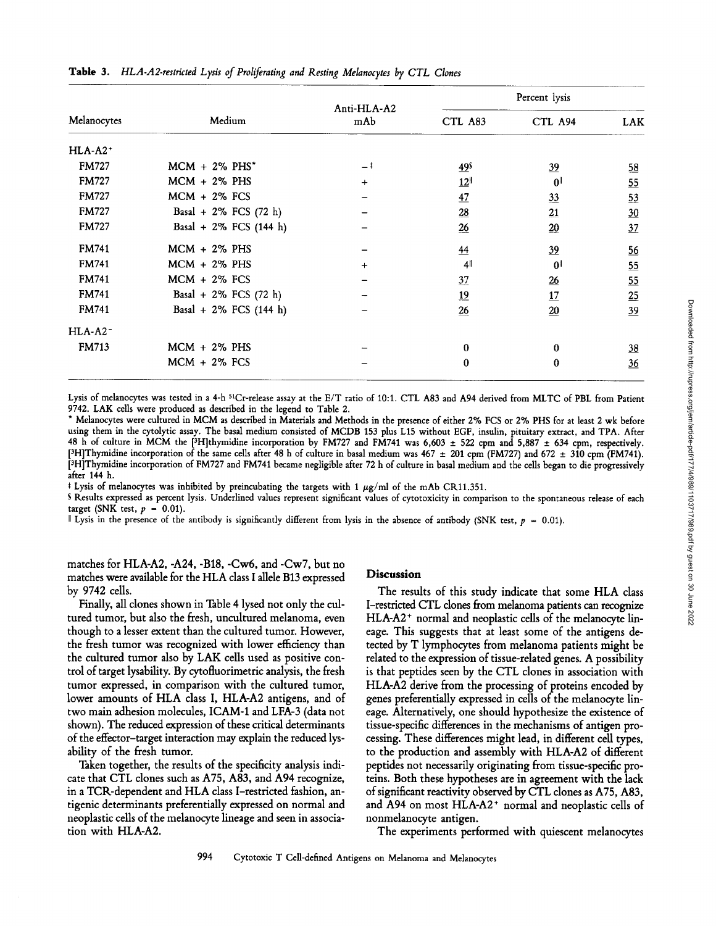| Melanocytes           |                              |                    | Percent lysis    |                |                |  |
|-----------------------|------------------------------|--------------------|------------------|----------------|----------------|--|
|                       | Medium                       | Anti-HLA-A2<br>mAb | CTL A83          | CTL A94        | <b>LAK</b>     |  |
| $HLA-A2$ <sup>+</sup> |                              |                    |                  |                |                |  |
| <b>FM727</b>          | $MCM + 2\%$ PHS <sup>*</sup> | $-1$               | 49 <sup>s</sup>  | $\frac{39}{2}$ | 58             |  |
| <b>FM727</b>          | $MCM + 2\%$ PHS              | $\ddot{}$          | $12^{\parallel}$ | $0\parallel$   | 55             |  |
| <b>FM727</b>          | $MCM + 2\%$ FCS              |                    | 47               | 33             | 53             |  |
| <b>FM727</b>          | Basal + $2\%$ FCS (72 h)     |                    | $\frac{28}{2}$   | 21             | 30             |  |
| <b>FM727</b>          | Basal + 2% FCS (144 h)       |                    | 26               | 20             | 37             |  |
| <b>FM741</b>          | $MCM + 2\%$ PHS              |                    | 44               | $\frac{39}{2}$ | 56             |  |
| <b>FM741</b>          | $MCM + 2\%$ PHS              | $\ddot{}$          | 41               | $0\parallel$   | 55             |  |
| <b>FM741</b>          | $MCM + 2\%$ FCS              |                    | 37               | 26             | 55             |  |
| <b>FM741</b>          | Basal + $2\%$ FCS (72 h)     |                    | 19               | 17             | 25             |  |
| <b>FM741</b>          | Basal + $2\%$ FCS (144 h)    |                    | 26               | 20             | $\frac{39}{2}$ |  |
| $HLA-A2$ <sup>-</sup> |                              |                    |                  |                |                |  |
| <b>FM713</b>          | $MCM + 2\%$ PHS              |                    | $\bf{0}$         | 0              | $\frac{38}{5}$ |  |
|                       | $MCM + 2\%$ FCS              |                    | $\bf{0}$         | 0              | 36             |  |

Lysis of melanocytes was tested in a 4-h <sup>51</sup>Cr-release assay at the E/T ratio of 10:1. CTL A83 and A94 derived from MLTC of PBL from Patient 9742. LAK cells were produced as described in the legend to Table 2.

\* Melanocytes were cultured in MCM as described in Materials and Methods in the presence of either 2% FCS or 2% PHS for at least 2 wk before using them in the cytolytic assay. The basal medium consisted of MCDB 153 plus L15 without EGF, insulin, pituitary extract, and TPA. After 48 h of culture in MCM the [3H]thymidine incorporation by FM727 and FM741 was 6,603  $\pm$  522 cpm and 5,887  $\pm$  634 cpm, respectively. [<sup>3</sup>H]Thymidine incorporation of the same cells after 48 h of culture in basal medium was 467  $\pm$  201 cpm (FM727) and 672  $\pm$  310 cpm (FM741). pH]Thymidine incorporation of FM727 and FM741 became negligible after 72 h of culture in basal medium and the cells began to die progressively after 144 h.

<sup> $\pm$ </sup> Lysis of melanocytes was inhibited by preincubating the targets with 1  $\mu$ g/ml of the mAb CR11.351.

S Results expressed as percent lysis. Underlined values represent significant values of cytotoxicity in comparison to the spontaneous release of each target (SNK test,  $p = 0.01$ ).

**II** Lysis in the presence of the antibody is significantly different from lysis in the absence of antibody (SNK test, p = 0.01).

matches for HLA-A2, -A24, -B18, -Cw6, and -Cw7, but no matches were available for the HLA class I allele B13 expressed by 9742 cells.

Finally, all clones shown in Table 4 lysed not only the cultured tumor, but also the fresh, uncultured melanoma, even though to a lesser extent than the cultured tumor. However, the fresh tumor was recognized with lower efficiency than the cultured tumor also by LAK cells used as positive control of target lysability. By cytofluorimetric analysis, the fresh tumor expressed, in comparison with the cultured tumor, lower amounts of HLA class I, HLA-A2 antigens, and of two main adhesion molecules, ICAM-1 and LFA-3 (data not shown). The reduced expression of these critical determinants of the effector-target interaction may explain the reduced lysability of the fresh tumor.

Taken together, the results of the specificity analysis indicate that CTL clones such as A75, A83, and A94 recognize, in a TCR-dependent and HLA class I-restricted fashion, antigenic determinants preferentially expressed on normal and neoplastic cells of the melanocyte lineage and seen in association with HLA-A2.

#### **Discussion**

The results of this study indicate that some HLA class I-restricted CTL clones from melanoma patients can recognize  $HLA-A2$ <sup>+</sup> normal and neoplastic cells of the melanocyte lineage. This suggests that at least some of the antigens detected by T lymphocytes from melanoma patients might be related to the expression of tissue-related genes. A possibility is that peptides seen by the CTL clones in association with HLA-A2 derive from the processing of proteins encoded by genes preferentially expressed in cells of the melanocyte lineage. Alternatively, one should hypothesize the existence of tissue-specific differences in the mechanisms of antigen processing. These differences might lead, in different cell types, to the production and assembly with HLA-A2 of different peptides not necessarily originating from tissue-specific proteins. Both these hypotheses are in agreement with the lack of significant reactivity observed by CTL clones as A75, A83, and A94 on most  $HLA-A2$ <sup>+</sup> normal and neoplastic cells of nonmelanocyte antigen.

The experiments performed with quiescent melanocytes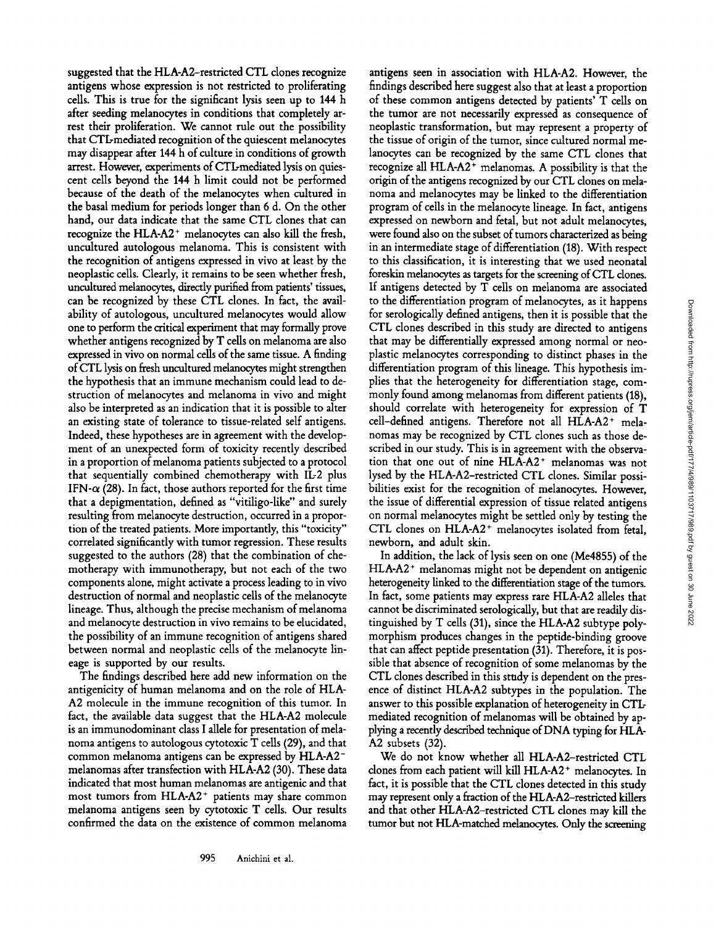suggested that the HLA-A2-restricted CTL clones recognize antigens whose expression is not restricted to proliferating cells. This is true for the significant lysis seen up to 144 h after seeding melanocytes in conditions that completely arrest their proliferation. We cannot rule out the possibility that CTL-mediated recognition of the quiescent melanocytes may disappear after 144 h of culture in conditions of growth arrest. However, experiments of CTL-mediated lysis on quiescent cells beyond the 144 h limit could not be performed because of the death of the melanocytes when cultured in the basal medium for periods longer than 6 d. On the other hand, our data indicate that the same CTL clones that can recognize the HLA-A2<sup>+</sup> melanocytes can also kill the fresh, uncultured autologous melanoma. This is consistent with the recognition of antigens expressed in vivo at least by the neoplastic cells. Clearly, it remains to be seen whether fresh, uncultured melanocytes, directly purified from patients' tissues, can be recognized by these CTL clones. In fact, the availability of autologous, uncultured melanocytes would allow one to perform the critical experiment that may formally prove whether antigens recognized by T cells on melanoma are also expressed in vivo on normal cells of the same tissue. A finding ofCTL lysis on fresh uncultured melanocytes might strengthen the hypothesis that an immune mechanism could lead to destruction of melanocytes and melanoma in vivo and might also be interpreted as an indication that it is possible to alter an existing state of tolerance to tissue-related self antigens. Indeed, these hypotheses are in agreement with the development of an unexpected form of toxicity recently described in a proportion of melanoma patients subjected to a protocol that sequentially combined chemotherapy with IL-2 plus IFN- $\alpha$  (28). In fact, those authors reported for the first time that a depigmentation, defined as "vitiligo-like" and surely resulting from melanocyte destruction, occurred in a proportion of the treated patients. More importantly, this "toxicity" correlated significantly with tumor regression. These results suggested to the authors (28) that the combination of chemotherapy with immunotherapy, but not each of the two components alone, might activate a process leading to in vivo destruction of normal and neoplastic cells of the melanocyte lineage. Thus, although the precise mechanism of melanoma and melanocyte destruction in vivo remains to be elucidated, the possibility of an immune recognition of antigens shared between normal and neoplastic cells of the melanocyte lineage is supported by our results.

The findings described here add new information on the antigenicity of human melanoma and on the role of HLA-A2 molecule in the immune recognition of this tumor. In fact, the available data suggest that the HLA-A2 molecule is an immunodominant class I allele for presentation of melanoma antigens to autologous cytotoxic T cells (29), and that common melanoma antigens can be expressed by HLA-A2 melanomas after transfection with HLA-A2 (30). These data indicated that most human melanomas are antigenic and that most tumors from HLA-A2<sup>+</sup> patients may share common melanoma antigens seen by cytotoxic T cells. Our results confirmed the data on the existence of common melanoma

antigens seen in association with HLA-A2. However, the findings described here suggest also that at least a proportion of these common antigens detected by patients' T cells on the tumor are not necessarily expressed as consequence of neoplastic transformation, but may represent a property of the tissue of origin of the tumor, since cultured normal melanocytes can be recognized by the same CTL clones that recognize all HLA-A2<sup>+</sup> melanomas. A possibility is that the origin of the antigens recognized by our CTL clones on melanoma and melanocytes may be linked to the differentiation program of cells in the melanocyte lineage. In fact, antigens expressed on newborn and fetal, but not adult melanocytes, were found also on the subset of tumors characterized as being in an intermediate stage of differentiation (18). With respect to this classification, it is interesting that we used neonatal foreskin melanocytes as targets for the screening of CTL clones. If antigens detected by T cells on melanoma are associated to the differentiation program of melanocytes, as it happens for serologically defined antigens, then it is possible that the CTL clones described in this study are directed to antigens that may be differentially expressed among normal or neoplastic melanocytes corresponding to distinct phases in the differentiation program of this lineage. This hypothesis implies that the heterogeneity for differentiation stage, commonly found among melanomas from different patients (18), should correlate with heterogeneity for expression of T cell-defined antigens. Therefore not all  $HLA-A2$  + melanomas may be recognized by CTL clones such as those described in our study. This is in agreement with the observation that one out of nine HLA-A2<sup>+</sup> melanomas was not lysed by the HLA-A2-restricted CTL clones. Similar possibilities exist for the recognition of melanocytes. However, the issue of differential expression of tissue related antigens on normal melanocytes might be settled only by testing the CTL clones on HLA-A2<sup>+</sup> melanocytes isolated from fetal, newborn, and adult skin.

In addition, the lack of lysis seen on one (Me4855) of the  $HLA-A2$ <sup>+</sup> melanomas might not be dependent on antigenic heterogeneity linked to the differentiation stage of the tumors. In fact, some patients may express rare HLA-A2 alleles that cannot be discriminated serologically, but that are readily distinguished by T cells (31), since the HLA-A2 subtype polymorphism produces changes in the peptide-binding groove that can affect peptide presentation (31). Therefore, it is possible that absence of recognition of some melanomas by the CTL clones described in this study is dependent on the presence of distinct HLA-A2 subtypes in the population. The answer to this possible explanation of heterogeneity in CTLmediated recognition of melanomas will be obtained by applying a recently described technique of DNA typing for HLA-A2 subsets (32).

We do not know whether all HLA-A2-restricted CTL clones from each patient will kill HLA-A2<sup>+</sup> melanocytes. In fact, it is possible that the CTL clones detected in this study may represent only a fraction of the HLA-A2-restricted killers and that other HLA-A2-restricted CTL clones may kill the tumor but not HLA-matched melanocytes. Only the screening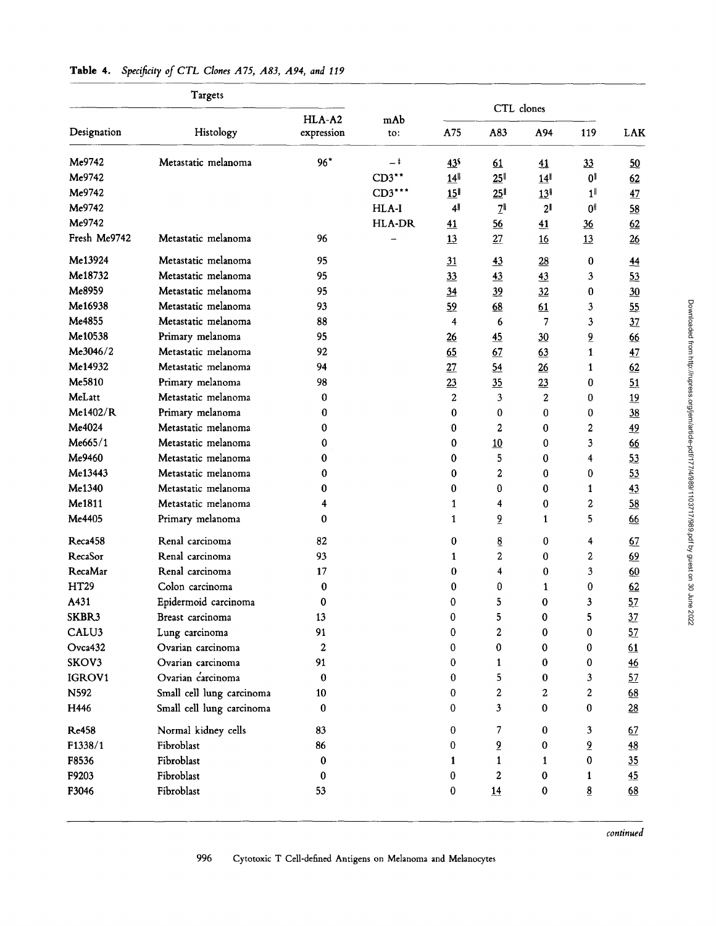| CTL clones<br>HLA-A2<br>mAb<br>Designation<br>Histology<br>A75<br>A83<br>expression<br>A94<br>119<br><b>LAK</b><br>to:<br>Me9742<br>$96*$<br>Metastatic melanoma<br>-‡<br>43 <sup>s</sup><br>33<br>61<br>41<br>50<br>Me9742<br>$CD3$ **<br>14<br>25 <sup>1</sup><br>0 <sup>11</sup><br>14<br>62<br>Me9742<br>CD3***<br>15 <sup>  </sup><br>25 <sup>1</sup><br>1 <sup>1</sup><br>13<br>47<br>Me9742<br>HLA-I<br>41<br>$2^{\mathsf{II}}$<br>2 <sup>1</sup><br>O۱<br>58<br>Me9742<br>HLA-DR<br>56<br>41<br>62<br>41<br>$\frac{36}{5}$<br>Fresh Me9742<br>Metastatic melanoma<br>96<br>13<br>27<br>13<br>26<br>16<br>Me13924<br>Metastatic melanoma<br>95<br>31<br>43<br>28<br>0<br>$\overline{44}$<br>Me18732<br>Metastatic melanoma<br>95<br>33<br>43<br>3<br>53<br>43<br>Me8959<br>Metastatic melanoma<br>95<br>34<br>39<br>32<br>0<br>30<br>Me16938<br>Metastatic melanoma<br>93<br>59<br>68<br>61<br>3<br>55<br>Me4855<br>Metastatic melanoma<br>88<br>4<br>7<br>3<br>6<br>37<br>Me10538<br>Primary melanoma<br>95<br>$\overline{6}$<br>26<br>45<br>30<br>66<br>Me3046/2<br>Metastatic melanoma<br>92<br>65<br>67<br>$\mathbf{1}$<br>63<br>47<br>Me14932<br>Metastatic melanoma<br>94<br>27<br>54<br>26<br>62<br>1<br>Me5810<br>Primary melanoma<br>98<br>23<br>35<br>23<br>0<br>51<br>MeLatt<br>Metastatic melanoma<br>$\overline{c}$<br>3<br>0<br>2<br>19<br>0<br>Me1402/R<br>Primary melanoma<br>$\Omega$<br>0<br>0<br>0<br>0<br>38<br>Me4024<br>Metastatic melanoma<br>2<br>$\overline{a}$<br>0<br>0<br>0<br>49<br>Me665/1<br>Metastatic melanoma<br>3<br>0<br>0<br>10<br>0<br>66<br>Me9460<br>Metastatic melanoma<br>5<br>0<br>0<br>0<br>53<br>4<br>Me13443<br>Metastatic melanoma<br>2<br>0<br>0<br>0<br>0<br>53<br>Metastatic melanoma<br>$\bf{0}$<br>$\bf{0}$<br>43<br>0<br>0<br>$\mathbf{1}$<br>Me1811<br>2<br>Metastatic melanoma<br>0<br>58<br>1<br>4<br>4<br>$\overline{6}$<br>5.<br>Primary melanoma<br>0<br>$\mathbf{1}$<br>$\mathbf{1}$<br>66<br>Renal carcinoma<br>$\underline{8}$<br>82<br>0<br>0<br>4<br>67<br>Renal carcinoma<br>93<br>2<br>2<br>0<br>69<br>1<br>Renal carcinoma<br>17<br>4<br>$\bf{0}$<br>3<br>0<br>60<br>Colon carcinoma<br>0<br>0<br>62<br>0<br>0<br>1<br>Epidermoid carcinoma<br>5<br>$\bf{0}$<br>3<br>57<br>0<br>0<br>Breast carcinoma<br>13<br>0<br>5<br>0<br>5<br>37<br>91<br>2<br>Lung carcinoma<br>0<br>0<br>0<br>57<br>Ovarian carcinoma<br>2<br>0<br>0<br>0<br>0<br>61<br>Ovarian carcinoma<br>91<br>0<br>$\pmb{0}$<br>0<br>$\mathbf{1}$<br>$\frac{46}{5}$<br>Ovarian carcinoma<br>$\pmb{0}$<br>$\pmb{0}$<br>5<br>0<br>3<br>57<br>2<br>Small cell lung carcinoma<br>10<br>0<br>2<br>68<br>2<br>3<br>Small cell lung carcinoma<br>0<br>0<br>0<br>0<br>28<br>Normal kidney cells<br>83<br>$\bf{0}$<br>7<br>$\bf{0}$<br>3<br>67<br>Fibroblast<br>$\overline{\mathbf{5}}$<br>$\overline{6}$<br>86<br>0<br>0<br>$\underline{48}$<br>Fibroblast<br>0<br>35<br>$\mathbf{1}$<br>0<br>$\mathbf{1}$<br>$\mathbf{1}$<br>Fibroblast<br>2<br>45<br>0<br>0<br>0<br>$\mathbf{1}$<br>Fibroblast<br>53<br><u>8</u><br>0<br>14<br>0<br>68 | Targets      |  |  |  |  |  |  |  |  |
|------------------------------------------------------------------------------------------------------------------------------------------------------------------------------------------------------------------------------------------------------------------------------------------------------------------------------------------------------------------------------------------------------------------------------------------------------------------------------------------------------------------------------------------------------------------------------------------------------------------------------------------------------------------------------------------------------------------------------------------------------------------------------------------------------------------------------------------------------------------------------------------------------------------------------------------------------------------------------------------------------------------------------------------------------------------------------------------------------------------------------------------------------------------------------------------------------------------------------------------------------------------------------------------------------------------------------------------------------------------------------------------------------------------------------------------------------------------------------------------------------------------------------------------------------------------------------------------------------------------------------------------------------------------------------------------------------------------------------------------------------------------------------------------------------------------------------------------------------------------------------------------------------------------------------------------------------------------------------------------------------------------------------------------------------------------------------------------------------------------------------------------------------------------------------------------------------------------------------------------------------------------------------------------------------------------------------------------------------------------------------------------------------------------------------------------------------------------------------------------------------------------------------------------------------------------------------------------------------------------------------------------------------------------------------------------------------------------------------------------------------------------------------------------------------------------------------------------------------------------------------------------------------------------------------------------------------------------------------------------------------------------------------------------------------------------------|--------------|--|--|--|--|--|--|--|--|
|                                                                                                                                                                                                                                                                                                                                                                                                                                                                                                                                                                                                                                                                                                                                                                                                                                                                                                                                                                                                                                                                                                                                                                                                                                                                                                                                                                                                                                                                                                                                                                                                                                                                                                                                                                                                                                                                                                                                                                                                                                                                                                                                                                                                                                                                                                                                                                                                                                                                                                                                                                                                                                                                                                                                                                                                                                                                                                                                                                                                                                                                        |              |  |  |  |  |  |  |  |  |
|                                                                                                                                                                                                                                                                                                                                                                                                                                                                                                                                                                                                                                                                                                                                                                                                                                                                                                                                                                                                                                                                                                                                                                                                                                                                                                                                                                                                                                                                                                                                                                                                                                                                                                                                                                                                                                                                                                                                                                                                                                                                                                                                                                                                                                                                                                                                                                                                                                                                                                                                                                                                                                                                                                                                                                                                                                                                                                                                                                                                                                                                        |              |  |  |  |  |  |  |  |  |
|                                                                                                                                                                                                                                                                                                                                                                                                                                                                                                                                                                                                                                                                                                                                                                                                                                                                                                                                                                                                                                                                                                                                                                                                                                                                                                                                                                                                                                                                                                                                                                                                                                                                                                                                                                                                                                                                                                                                                                                                                                                                                                                                                                                                                                                                                                                                                                                                                                                                                                                                                                                                                                                                                                                                                                                                                                                                                                                                                                                                                                                                        |              |  |  |  |  |  |  |  |  |
|                                                                                                                                                                                                                                                                                                                                                                                                                                                                                                                                                                                                                                                                                                                                                                                                                                                                                                                                                                                                                                                                                                                                                                                                                                                                                                                                                                                                                                                                                                                                                                                                                                                                                                                                                                                                                                                                                                                                                                                                                                                                                                                                                                                                                                                                                                                                                                                                                                                                                                                                                                                                                                                                                                                                                                                                                                                                                                                                                                                                                                                                        |              |  |  |  |  |  |  |  |  |
|                                                                                                                                                                                                                                                                                                                                                                                                                                                                                                                                                                                                                                                                                                                                                                                                                                                                                                                                                                                                                                                                                                                                                                                                                                                                                                                                                                                                                                                                                                                                                                                                                                                                                                                                                                                                                                                                                                                                                                                                                                                                                                                                                                                                                                                                                                                                                                                                                                                                                                                                                                                                                                                                                                                                                                                                                                                                                                                                                                                                                                                                        |              |  |  |  |  |  |  |  |  |
|                                                                                                                                                                                                                                                                                                                                                                                                                                                                                                                                                                                                                                                                                                                                                                                                                                                                                                                                                                                                                                                                                                                                                                                                                                                                                                                                                                                                                                                                                                                                                                                                                                                                                                                                                                                                                                                                                                                                                                                                                                                                                                                                                                                                                                                                                                                                                                                                                                                                                                                                                                                                                                                                                                                                                                                                                                                                                                                                                                                                                                                                        |              |  |  |  |  |  |  |  |  |
|                                                                                                                                                                                                                                                                                                                                                                                                                                                                                                                                                                                                                                                                                                                                                                                                                                                                                                                                                                                                                                                                                                                                                                                                                                                                                                                                                                                                                                                                                                                                                                                                                                                                                                                                                                                                                                                                                                                                                                                                                                                                                                                                                                                                                                                                                                                                                                                                                                                                                                                                                                                                                                                                                                                                                                                                                                                                                                                                                                                                                                                                        |              |  |  |  |  |  |  |  |  |
|                                                                                                                                                                                                                                                                                                                                                                                                                                                                                                                                                                                                                                                                                                                                                                                                                                                                                                                                                                                                                                                                                                                                                                                                                                                                                                                                                                                                                                                                                                                                                                                                                                                                                                                                                                                                                                                                                                                                                                                                                                                                                                                                                                                                                                                                                                                                                                                                                                                                                                                                                                                                                                                                                                                                                                                                                                                                                                                                                                                                                                                                        |              |  |  |  |  |  |  |  |  |
|                                                                                                                                                                                                                                                                                                                                                                                                                                                                                                                                                                                                                                                                                                                                                                                                                                                                                                                                                                                                                                                                                                                                                                                                                                                                                                                                                                                                                                                                                                                                                                                                                                                                                                                                                                                                                                                                                                                                                                                                                                                                                                                                                                                                                                                                                                                                                                                                                                                                                                                                                                                                                                                                                                                                                                                                                                                                                                                                                                                                                                                                        |              |  |  |  |  |  |  |  |  |
|                                                                                                                                                                                                                                                                                                                                                                                                                                                                                                                                                                                                                                                                                                                                                                                                                                                                                                                                                                                                                                                                                                                                                                                                                                                                                                                                                                                                                                                                                                                                                                                                                                                                                                                                                                                                                                                                                                                                                                                                                                                                                                                                                                                                                                                                                                                                                                                                                                                                                                                                                                                                                                                                                                                                                                                                                                                                                                                                                                                                                                                                        |              |  |  |  |  |  |  |  |  |
|                                                                                                                                                                                                                                                                                                                                                                                                                                                                                                                                                                                                                                                                                                                                                                                                                                                                                                                                                                                                                                                                                                                                                                                                                                                                                                                                                                                                                                                                                                                                                                                                                                                                                                                                                                                                                                                                                                                                                                                                                                                                                                                                                                                                                                                                                                                                                                                                                                                                                                                                                                                                                                                                                                                                                                                                                                                                                                                                                                                                                                                                        |              |  |  |  |  |  |  |  |  |
|                                                                                                                                                                                                                                                                                                                                                                                                                                                                                                                                                                                                                                                                                                                                                                                                                                                                                                                                                                                                                                                                                                                                                                                                                                                                                                                                                                                                                                                                                                                                                                                                                                                                                                                                                                                                                                                                                                                                                                                                                                                                                                                                                                                                                                                                                                                                                                                                                                                                                                                                                                                                                                                                                                                                                                                                                                                                                                                                                                                                                                                                        |              |  |  |  |  |  |  |  |  |
|                                                                                                                                                                                                                                                                                                                                                                                                                                                                                                                                                                                                                                                                                                                                                                                                                                                                                                                                                                                                                                                                                                                                                                                                                                                                                                                                                                                                                                                                                                                                                                                                                                                                                                                                                                                                                                                                                                                                                                                                                                                                                                                                                                                                                                                                                                                                                                                                                                                                                                                                                                                                                                                                                                                                                                                                                                                                                                                                                                                                                                                                        |              |  |  |  |  |  |  |  |  |
|                                                                                                                                                                                                                                                                                                                                                                                                                                                                                                                                                                                                                                                                                                                                                                                                                                                                                                                                                                                                                                                                                                                                                                                                                                                                                                                                                                                                                                                                                                                                                                                                                                                                                                                                                                                                                                                                                                                                                                                                                                                                                                                                                                                                                                                                                                                                                                                                                                                                                                                                                                                                                                                                                                                                                                                                                                                                                                                                                                                                                                                                        |              |  |  |  |  |  |  |  |  |
|                                                                                                                                                                                                                                                                                                                                                                                                                                                                                                                                                                                                                                                                                                                                                                                                                                                                                                                                                                                                                                                                                                                                                                                                                                                                                                                                                                                                                                                                                                                                                                                                                                                                                                                                                                                                                                                                                                                                                                                                                                                                                                                                                                                                                                                                                                                                                                                                                                                                                                                                                                                                                                                                                                                                                                                                                                                                                                                                                                                                                                                                        |              |  |  |  |  |  |  |  |  |
|                                                                                                                                                                                                                                                                                                                                                                                                                                                                                                                                                                                                                                                                                                                                                                                                                                                                                                                                                                                                                                                                                                                                                                                                                                                                                                                                                                                                                                                                                                                                                                                                                                                                                                                                                                                                                                                                                                                                                                                                                                                                                                                                                                                                                                                                                                                                                                                                                                                                                                                                                                                                                                                                                                                                                                                                                                                                                                                                                                                                                                                                        |              |  |  |  |  |  |  |  |  |
|                                                                                                                                                                                                                                                                                                                                                                                                                                                                                                                                                                                                                                                                                                                                                                                                                                                                                                                                                                                                                                                                                                                                                                                                                                                                                                                                                                                                                                                                                                                                                                                                                                                                                                                                                                                                                                                                                                                                                                                                                                                                                                                                                                                                                                                                                                                                                                                                                                                                                                                                                                                                                                                                                                                                                                                                                                                                                                                                                                                                                                                                        |              |  |  |  |  |  |  |  |  |
|                                                                                                                                                                                                                                                                                                                                                                                                                                                                                                                                                                                                                                                                                                                                                                                                                                                                                                                                                                                                                                                                                                                                                                                                                                                                                                                                                                                                                                                                                                                                                                                                                                                                                                                                                                                                                                                                                                                                                                                                                                                                                                                                                                                                                                                                                                                                                                                                                                                                                                                                                                                                                                                                                                                                                                                                                                                                                                                                                                                                                                                                        |              |  |  |  |  |  |  |  |  |
|                                                                                                                                                                                                                                                                                                                                                                                                                                                                                                                                                                                                                                                                                                                                                                                                                                                                                                                                                                                                                                                                                                                                                                                                                                                                                                                                                                                                                                                                                                                                                                                                                                                                                                                                                                                                                                                                                                                                                                                                                                                                                                                                                                                                                                                                                                                                                                                                                                                                                                                                                                                                                                                                                                                                                                                                                                                                                                                                                                                                                                                                        |              |  |  |  |  |  |  |  |  |
|                                                                                                                                                                                                                                                                                                                                                                                                                                                                                                                                                                                                                                                                                                                                                                                                                                                                                                                                                                                                                                                                                                                                                                                                                                                                                                                                                                                                                                                                                                                                                                                                                                                                                                                                                                                                                                                                                                                                                                                                                                                                                                                                                                                                                                                                                                                                                                                                                                                                                                                                                                                                                                                                                                                                                                                                                                                                                                                                                                                                                                                                        |              |  |  |  |  |  |  |  |  |
|                                                                                                                                                                                                                                                                                                                                                                                                                                                                                                                                                                                                                                                                                                                                                                                                                                                                                                                                                                                                                                                                                                                                                                                                                                                                                                                                                                                                                                                                                                                                                                                                                                                                                                                                                                                                                                                                                                                                                                                                                                                                                                                                                                                                                                                                                                                                                                                                                                                                                                                                                                                                                                                                                                                                                                                                                                                                                                                                                                                                                                                                        |              |  |  |  |  |  |  |  |  |
|                                                                                                                                                                                                                                                                                                                                                                                                                                                                                                                                                                                                                                                                                                                                                                                                                                                                                                                                                                                                                                                                                                                                                                                                                                                                                                                                                                                                                                                                                                                                                                                                                                                                                                                                                                                                                                                                                                                                                                                                                                                                                                                                                                                                                                                                                                                                                                                                                                                                                                                                                                                                                                                                                                                                                                                                                                                                                                                                                                                                                                                                        |              |  |  |  |  |  |  |  |  |
|                                                                                                                                                                                                                                                                                                                                                                                                                                                                                                                                                                                                                                                                                                                                                                                                                                                                                                                                                                                                                                                                                                                                                                                                                                                                                                                                                                                                                                                                                                                                                                                                                                                                                                                                                                                                                                                                                                                                                                                                                                                                                                                                                                                                                                                                                                                                                                                                                                                                                                                                                                                                                                                                                                                                                                                                                                                                                                                                                                                                                                                                        |              |  |  |  |  |  |  |  |  |
|                                                                                                                                                                                                                                                                                                                                                                                                                                                                                                                                                                                                                                                                                                                                                                                                                                                                                                                                                                                                                                                                                                                                                                                                                                                                                                                                                                                                                                                                                                                                                                                                                                                                                                                                                                                                                                                                                                                                                                                                                                                                                                                                                                                                                                                                                                                                                                                                                                                                                                                                                                                                                                                                                                                                                                                                                                                                                                                                                                                                                                                                        | Me1340       |  |  |  |  |  |  |  |  |
|                                                                                                                                                                                                                                                                                                                                                                                                                                                                                                                                                                                                                                                                                                                                                                                                                                                                                                                                                                                                                                                                                                                                                                                                                                                                                                                                                                                                                                                                                                                                                                                                                                                                                                                                                                                                                                                                                                                                                                                                                                                                                                                                                                                                                                                                                                                                                                                                                                                                                                                                                                                                                                                                                                                                                                                                                                                                                                                                                                                                                                                                        |              |  |  |  |  |  |  |  |  |
|                                                                                                                                                                                                                                                                                                                                                                                                                                                                                                                                                                                                                                                                                                                                                                                                                                                                                                                                                                                                                                                                                                                                                                                                                                                                                                                                                                                                                                                                                                                                                                                                                                                                                                                                                                                                                                                                                                                                                                                                                                                                                                                                                                                                                                                                                                                                                                                                                                                                                                                                                                                                                                                                                                                                                                                                                                                                                                                                                                                                                                                                        | Me4405       |  |  |  |  |  |  |  |  |
|                                                                                                                                                                                                                                                                                                                                                                                                                                                                                                                                                                                                                                                                                                                                                                                                                                                                                                                                                                                                                                                                                                                                                                                                                                                                                                                                                                                                                                                                                                                                                                                                                                                                                                                                                                                                                                                                                                                                                                                                                                                                                                                                                                                                                                                                                                                                                                                                                                                                                                                                                                                                                                                                                                                                                                                                                                                                                                                                                                                                                                                                        | Reca458      |  |  |  |  |  |  |  |  |
|                                                                                                                                                                                                                                                                                                                                                                                                                                                                                                                                                                                                                                                                                                                                                                                                                                                                                                                                                                                                                                                                                                                                                                                                                                                                                                                                                                                                                                                                                                                                                                                                                                                                                                                                                                                                                                                                                                                                                                                                                                                                                                                                                                                                                                                                                                                                                                                                                                                                                                                                                                                                                                                                                                                                                                                                                                                                                                                                                                                                                                                                        | RecaSor      |  |  |  |  |  |  |  |  |
|                                                                                                                                                                                                                                                                                                                                                                                                                                                                                                                                                                                                                                                                                                                                                                                                                                                                                                                                                                                                                                                                                                                                                                                                                                                                                                                                                                                                                                                                                                                                                                                                                                                                                                                                                                                                                                                                                                                                                                                                                                                                                                                                                                                                                                                                                                                                                                                                                                                                                                                                                                                                                                                                                                                                                                                                                                                                                                                                                                                                                                                                        | RecaMar      |  |  |  |  |  |  |  |  |
|                                                                                                                                                                                                                                                                                                                                                                                                                                                                                                                                                                                                                                                                                                                                                                                                                                                                                                                                                                                                                                                                                                                                                                                                                                                                                                                                                                                                                                                                                                                                                                                                                                                                                                                                                                                                                                                                                                                                                                                                                                                                                                                                                                                                                                                                                                                                                                                                                                                                                                                                                                                                                                                                                                                                                                                                                                                                                                                                                                                                                                                                        | <b>HT29</b>  |  |  |  |  |  |  |  |  |
|                                                                                                                                                                                                                                                                                                                                                                                                                                                                                                                                                                                                                                                                                                                                                                                                                                                                                                                                                                                                                                                                                                                                                                                                                                                                                                                                                                                                                                                                                                                                                                                                                                                                                                                                                                                                                                                                                                                                                                                                                                                                                                                                                                                                                                                                                                                                                                                                                                                                                                                                                                                                                                                                                                                                                                                                                                                                                                                                                                                                                                                                        | A431         |  |  |  |  |  |  |  |  |
|                                                                                                                                                                                                                                                                                                                                                                                                                                                                                                                                                                                                                                                                                                                                                                                                                                                                                                                                                                                                                                                                                                                                                                                                                                                                                                                                                                                                                                                                                                                                                                                                                                                                                                                                                                                                                                                                                                                                                                                                                                                                                                                                                                                                                                                                                                                                                                                                                                                                                                                                                                                                                                                                                                                                                                                                                                                                                                                                                                                                                                                                        | SKBR3        |  |  |  |  |  |  |  |  |
|                                                                                                                                                                                                                                                                                                                                                                                                                                                                                                                                                                                                                                                                                                                                                                                                                                                                                                                                                                                                                                                                                                                                                                                                                                                                                                                                                                                                                                                                                                                                                                                                                                                                                                                                                                                                                                                                                                                                                                                                                                                                                                                                                                                                                                                                                                                                                                                                                                                                                                                                                                                                                                                                                                                                                                                                                                                                                                                                                                                                                                                                        | CALU3        |  |  |  |  |  |  |  |  |
|                                                                                                                                                                                                                                                                                                                                                                                                                                                                                                                                                                                                                                                                                                                                                                                                                                                                                                                                                                                                                                                                                                                                                                                                                                                                                                                                                                                                                                                                                                                                                                                                                                                                                                                                                                                                                                                                                                                                                                                                                                                                                                                                                                                                                                                                                                                                                                                                                                                                                                                                                                                                                                                                                                                                                                                                                                                                                                                                                                                                                                                                        | Ovca432      |  |  |  |  |  |  |  |  |
|                                                                                                                                                                                                                                                                                                                                                                                                                                                                                                                                                                                                                                                                                                                                                                                                                                                                                                                                                                                                                                                                                                                                                                                                                                                                                                                                                                                                                                                                                                                                                                                                                                                                                                                                                                                                                                                                                                                                                                                                                                                                                                                                                                                                                                                                                                                                                                                                                                                                                                                                                                                                                                                                                                                                                                                                                                                                                                                                                                                                                                                                        | SKOV3        |  |  |  |  |  |  |  |  |
|                                                                                                                                                                                                                                                                                                                                                                                                                                                                                                                                                                                                                                                                                                                                                                                                                                                                                                                                                                                                                                                                                                                                                                                                                                                                                                                                                                                                                                                                                                                                                                                                                                                                                                                                                                                                                                                                                                                                                                                                                                                                                                                                                                                                                                                                                                                                                                                                                                                                                                                                                                                                                                                                                                                                                                                                                                                                                                                                                                                                                                                                        | IGROV1       |  |  |  |  |  |  |  |  |
|                                                                                                                                                                                                                                                                                                                                                                                                                                                                                                                                                                                                                                                                                                                                                                                                                                                                                                                                                                                                                                                                                                                                                                                                                                                                                                                                                                                                                                                                                                                                                                                                                                                                                                                                                                                                                                                                                                                                                                                                                                                                                                                                                                                                                                                                                                                                                                                                                                                                                                                                                                                                                                                                                                                                                                                                                                                                                                                                                                                                                                                                        | N592         |  |  |  |  |  |  |  |  |
|                                                                                                                                                                                                                                                                                                                                                                                                                                                                                                                                                                                                                                                                                                                                                                                                                                                                                                                                                                                                                                                                                                                                                                                                                                                                                                                                                                                                                                                                                                                                                                                                                                                                                                                                                                                                                                                                                                                                                                                                                                                                                                                                                                                                                                                                                                                                                                                                                                                                                                                                                                                                                                                                                                                                                                                                                                                                                                                                                                                                                                                                        | H446         |  |  |  |  |  |  |  |  |
|                                                                                                                                                                                                                                                                                                                                                                                                                                                                                                                                                                                                                                                                                                                                                                                                                                                                                                                                                                                                                                                                                                                                                                                                                                                                                                                                                                                                                                                                                                                                                                                                                                                                                                                                                                                                                                                                                                                                                                                                                                                                                                                                                                                                                                                                                                                                                                                                                                                                                                                                                                                                                                                                                                                                                                                                                                                                                                                                                                                                                                                                        | <b>Re458</b> |  |  |  |  |  |  |  |  |
|                                                                                                                                                                                                                                                                                                                                                                                                                                                                                                                                                                                                                                                                                                                                                                                                                                                                                                                                                                                                                                                                                                                                                                                                                                                                                                                                                                                                                                                                                                                                                                                                                                                                                                                                                                                                                                                                                                                                                                                                                                                                                                                                                                                                                                                                                                                                                                                                                                                                                                                                                                                                                                                                                                                                                                                                                                                                                                                                                                                                                                                                        | F1338/1      |  |  |  |  |  |  |  |  |
|                                                                                                                                                                                                                                                                                                                                                                                                                                                                                                                                                                                                                                                                                                                                                                                                                                                                                                                                                                                                                                                                                                                                                                                                                                                                                                                                                                                                                                                                                                                                                                                                                                                                                                                                                                                                                                                                                                                                                                                                                                                                                                                                                                                                                                                                                                                                                                                                                                                                                                                                                                                                                                                                                                                                                                                                                                                                                                                                                                                                                                                                        | F8536        |  |  |  |  |  |  |  |  |
|                                                                                                                                                                                                                                                                                                                                                                                                                                                                                                                                                                                                                                                                                                                                                                                                                                                                                                                                                                                                                                                                                                                                                                                                                                                                                                                                                                                                                                                                                                                                                                                                                                                                                                                                                                                                                                                                                                                                                                                                                                                                                                                                                                                                                                                                                                                                                                                                                                                                                                                                                                                                                                                                                                                                                                                                                                                                                                                                                                                                                                                                        | F9203        |  |  |  |  |  |  |  |  |
|                                                                                                                                                                                                                                                                                                                                                                                                                                                                                                                                                                                                                                                                                                                                                                                                                                                                                                                                                                                                                                                                                                                                                                                                                                                                                                                                                                                                                                                                                                                                                                                                                                                                                                                                                                                                                                                                                                                                                                                                                                                                                                                                                                                                                                                                                                                                                                                                                                                                                                                                                                                                                                                                                                                                                                                                                                                                                                                                                                                                                                                                        | F3046        |  |  |  |  |  |  |  |  |

## Table 4. *Specificity of CTL Clones A75, A83, A94, and 119*

*continued*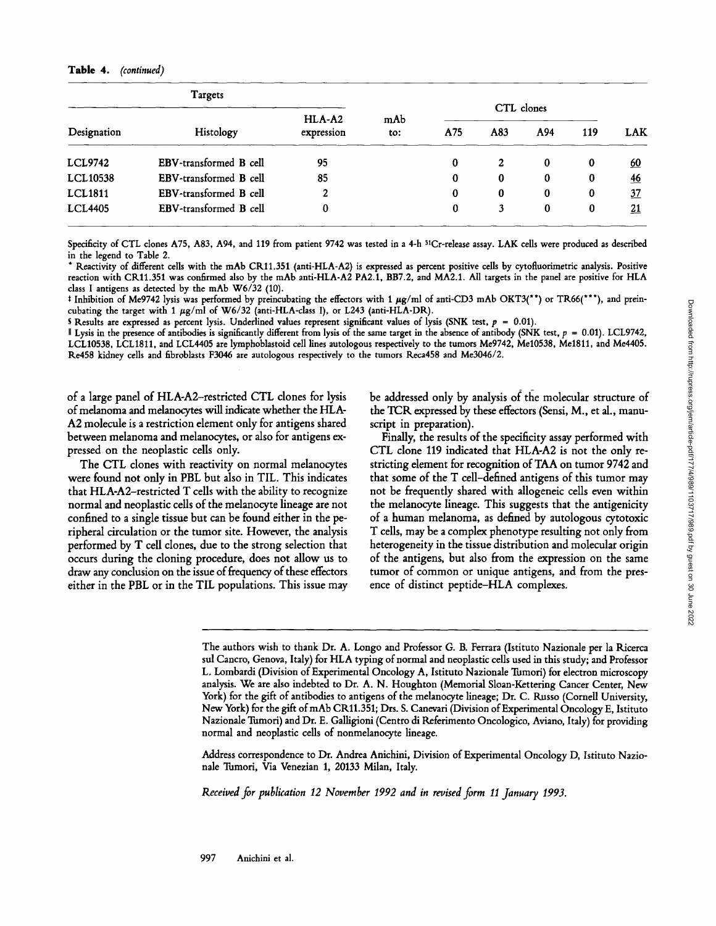#### Table 4. *(continued)*

| Targets         |                        |                        |            | CTL clones |                |          |     |                |
|-----------------|------------------------|------------------------|------------|------------|----------------|----------|-----|----------------|
| Designation     | Histology              | $HLA-A2$<br>expression | mAb<br>to: | A75        | A83            | A94      | 119 | <b>LAK</b>     |
| <b>LCL9742</b>  | EBV-transformed B cell | 95                     |            | $\bf{0}$   | $\overline{2}$ | $\bf{0}$ | 0   | <u>60</u>      |
| <b>LCL10538</b> | EBV-transformed B cell | 85                     |            | $\bf{0}$   | 0              | 0        | 0   | $\frac{46}{5}$ |
| <b>LCL1811</b>  | EBV-transformed B cell | 2                      |            | $\bf{0}$   | $\bf{0}$       | 0        | 0   | <u>37</u>      |
| <b>LCL4405</b>  | EBV-transformed B cell | 0                      |            | $\bf{0}$   | 3              | $\bf{0}$ | 0   | <u> 21</u>     |

Specificity of CTL clones A75, A83, A94, and 119 from patient 9742 was tested in a 4-h 51Cr-release assay. LAK cells were produced as described in the legend to Table 2.

Reactivity of different cells with the mAb CR11.351 (anti-HLA-A2) is expressed as percent positive cells by cytofluorimetric analysis. Positive reaction with CRll.351 was confirmed also by the mAb anti-HLA-A2 PA2.1, BB7.2, and MA2.1. All targets in the panel are positive for HLA class I antigens as detected by the mAb W6/32 (10).

 $*$  Inhibition of Me9742 lysis was performed by preincubating the effectors with 1  $\mu$ g/ml of anti-CD3 mAb OKT3(\*\*) or TR66(\*\*\*), and preincubating the target with 1  $\mu$ g/ml of W6/32 (anti-HLA-class I), or L243 (anti-HLA-DR).

S Results are expressed as percent lysis. Underlined values represent significant values of lysis (SNK test,  $p = 0.01$ ).

I Lysis in the presence of antibodies is significantly different from lysis of the same target in the absence of antibody (SNK test,  $p = 0.01$ ). LCL9742, LCL10538, LCL1811, and *LCL4405* are lymphoblastoid cell lines autologous respectively to the tumors Me9742, Me10538, Me1811, and Me4405. Re458 kidney cells and fibroblasts F3046 are autologous respectively to the tumors Reca458 and Me3046/2.

of a large panel of HLA-A2-restricted CTL clones for lysis of melanoma and melanocytes will indicate whether the HLA-A2 molecule is a restriction element only for antigens shared between melanoma and melanocytes, or also for antigens expressed on the neoplastic cells only.

The CTL clones with reactivity on normal melanocytes were found not only in PBL but also in TIL. This indicates that *HLA-A2-restricted* T cells with the ability to recognize normal and neoplastic cells of the melanocyte lineage are not confined to a single tissue but can be found either in the peripheral circulation or the tumor site. However, the analysis performed by T cell clones, due to the strong selection that occurs during the cloning procedure, does not allow us to draw any conclusion on the issue of frequency of these effectors either in the PBL or in the TIL populations. This issue may be addressed only by analysis of the molecular structure of the TCK expressed by these effectors (Sensi, M., et al., manuscript in preparation).

Finally, the results of the specificity assay performed with CTL clone 119 indicated that *HLA-A2* is not the only restricting element for recognition of *TAA* on tumor 9742 and that some of the T cell-defined antigens of this tumor may not be frequently shared with allogeneic cells even within the melanocyte lineage. This suggests that the antigenicity of a human melanoma, as defined by autologous cytotoxic T cells, may be a complex phenotype resulting not only from heterogeneity in the tissue distribution and molecular origin of the antigens, but also from the expression on the same tumor of common or unique antigens, and from the presence of distinct peptide-HLA complexes.

Address correspondence to Dr. Andrea Anichini, Division of Experimental Oncology D, Istituto Nazionale Tumori, Via Venezian 1, 20133 Milan, Italy.

*Received for publication 12 November 1992 and in revised form 11 January 1993.* 

The authors wish to thank Dr. A. Longo and Professor G. B. Ferrara (Istituto Nazionale per la Ricerca sul Cancro, Genova, Italy) for HLA typing of normal and neoplastic cells used in this study; and Professor L, Lombardi (Division of Experimental Oncology A, Istituto Nazionale Tumori) for electron microscopy analysis. We are also indebted to Dr. A. N. Houghton (Memorial Sloan-Kettering Cancer Center, New York) for the gift of antibodies to antigens of the melanocyte lineage; Dr. C. Russo (Cornell University, New York) for the gift ofmAb CRll.351; Drs. S. Canevari (Division of Experimental Oncology E, Istituto Nazionale Tumori) and Dr. E. Galligioni (Centro di Referimento Oncologico, Aviano, Italy) for providing normal and neoplastic cells of nonmelanocyte lineage.